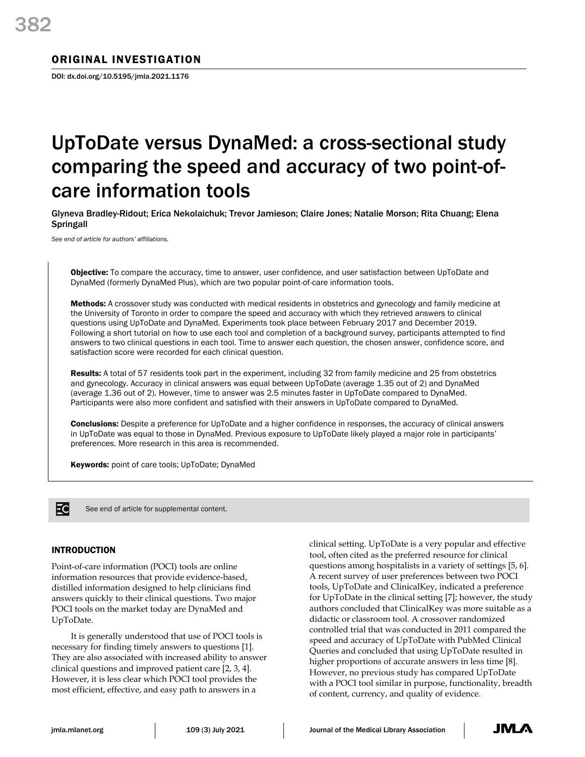### ORIGINAL INVESTIGATION

DOI: dx.doi.org/10.5195/jmla.2021.1176

# UpToDate versus DynaMed: a cross-sectional study comparing the speed and accuracy of two point-ofcare information tools

Glyneva Bradley-Ridout; Erica Nekolaichuk; Trevor Jamieson; Claire Jones; Natalie Morson; Rita Chuang; Elena **Springall** 

*See end of article for authors' affiliations.*

**Objective:** To compare the accuracy, time to answer, user confidence, and user satisfaction between UpToDate and DynaMed (formerly DynaMed Plus), which are two popular point-of-care information tools.

Methods: A crossover study was conducted with medical residents in obstetrics and gynecology and family medicine at the University of Toronto in order to compare the speed and accuracy with which they retrieved answers to clinical questions using UpToDate and DynaMed. Experiments took place between February 2017 and December 2019. Following a short tutorial on how to use each tool and completion of a background survey, participants attempted to find answers to two clinical questions in each tool. Time to answer each question, the chosen answer, confidence score, and satisfaction score were recorded for each clinical question.

Results: A total of 57 residents took part in the experiment, including 32 from family medicine and 25 from obstetrics and gynecology. Accuracy in clinical answers was equal between UpToDate (average 1.35 out of 2) and DynaMed (average 1.36 out of 2). However, time to answer was 2.5 minutes faster in UpToDate compared to DynaMed. Participants were also more confident and satisfied with their answers in UpToDate compared to DynaMed.

Conclusions: Despite a preference for UpToDate and a higher confidence in responses, the accuracy of clinical answers in UpToDate was equal to those in DynaMed. Previous exposure to UpToDate likely played a major role in participants' preferences. More research in this area is recommended.

Keywords: point of care tools; UpToDate; DynaMed



See end of article for supplemental content.

#### INTRODUCTION

Point-of-care information (POCI) tools are online information resources that provide evidence-based, distilled information designed to help clinicians find answers quickly to their clinical questions. Two major POCI tools on the market today are DynaMed and UpToDate.

It is generally understood that use of POCI tools is necessary for finding timely answers to questions [1]. They are also associated with increased ability to answer clinical questions and improved patient care [2, 3, 4]. However, it is less clear which POCI tool provides the most efficient, effective, and easy path to answers in a

clinical setting. UpToDate is a very popular and effective tool, often cited as the preferred resource for clinical questions among hospitalists in a variety of settings [5, 6]. A recent survey of user preferences between two POCI tools, UpToDate and ClinicalKey, indicated a preference for UpToDate in the clinical setting [7]; however, the study authors concluded that ClinicalKey was more suitable as a didactic or classroom tool. A crossover randomized controlled trial that was conducted in 2011 compared the speed and accuracy of UpToDate with PubMed Clinical Queries and concluded that using UpToDate resulted in higher proportions of accurate answers in less time [8]. However, no previous study has compared UpToDate with a POCI tool similar in purpose, functionality, breadth of content, currency, and quality of evidence.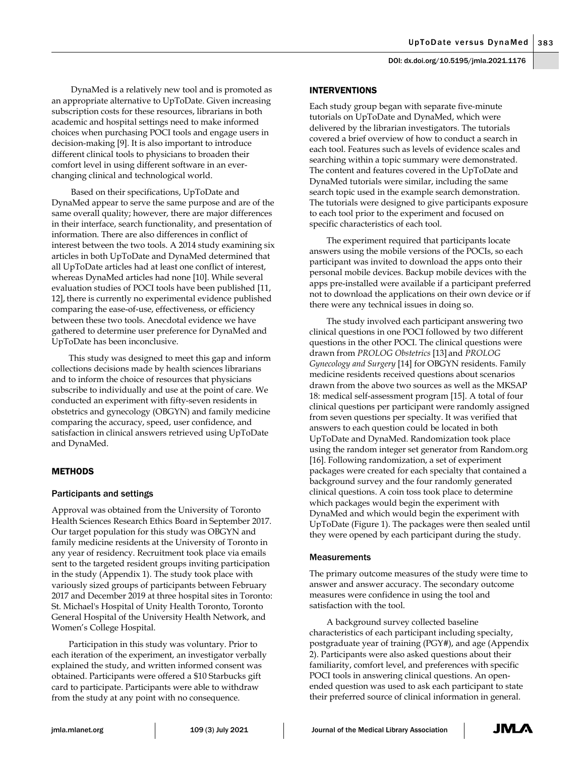DynaMed is a relatively new tool and is promoted as an appropriate alternative to UpToDate. Given increasing subscription costs for these resources, librarians in both academic and hospital settings need to make informed choices when purchasing POCI tools and engage users in decision-making [9]. It is also important to introduce different clinical tools to physicians to broaden their comfort level in using different software in an everchanging clinical and technological world.

Based on their specifications, UpToDate and DynaMed appear to serve the same purpose and are of the same overall quality; however, there are major differences in their interface, search functionality, and presentation of information. There are also differences in conflict of interest between the two tools. A 2014 study examining six articles in both UpToDate and DynaMed determined that all UpToDate articles had at least one conflict of interest, whereas DynaMed articles had none [10]. While several evaluation studies of POCI tools have been published [11, 12], there is currently no experimental evidence published comparing the ease-of-use, effectiveness, or efficiency between these two tools. Anecdotal evidence we have gathered to determine user preference for DynaMed and UpToDate has been inconclusive.

This study was designed to meet this gap and inform collections decisions made by health sciences librarians and to inform the choice of resources that physicians subscribe to individually and use at the point of care. We conducted an experiment with fifty-seven residents in obstetrics and gynecology (OBGYN) and family medicine comparing the accuracy, speed, user confidence, and satisfaction in clinical answers retrieved using UpToDate and DynaMed.

#### **METHODS**

#### Participants and settings

Approval was obtained from the University of Toronto Health Sciences Research Ethics Board in September 2017. Our target population for this study was OBGYN and family medicine residents at the University of Toronto in any year of residency. Recruitment took place via emails sent to the targeted resident groups inviting participation in the study (Appendix 1). The study took place with variously sized groups of participants between February 2017 and December 2019 at three hospital sites in Toronto: St. Michael's Hospital of Unity Health Toronto, Toronto General Hospital of the University Health Network, and Women's College Hospital.

Participation in this study was voluntary. Prior to each iteration of the experiment, an investigator verbally explained the study, and written informed consent was obtained. Participants were offered a \$10 Starbucks gift card to participate. Participants were able to withdraw from the study at any point with no consequence.

#### INTERVENTIONS

Each study group began with separate five-minute tutorials on UpToDate and DynaMed, which were delivered by the librarian investigators. The tutorials covered a brief overview of how to conduct a search in each tool. Features such as levels of evidence scales and searching within a topic summary were demonstrated. The content and features covered in the UpToDate and DynaMed tutorials were similar, including the same search topic used in the example search demonstration. The tutorials were designed to give participants exposure to each tool prior to the experiment and focused on specific characteristics of each tool.

The experiment required that participants locate answers using the mobile versions of the POCIs, so each participant was invited to download the apps onto their personal mobile devices. Backup mobile devices with the apps pre-installed were available if a participant preferred not to download the applications on their own device or if there were any technical issues in doing so.

The study involved each participant answering two clinical questions in one POCI followed by two different questions in the other POCI. The clinical questions were drawn from *PROLOG Obstetrics* [13] and *PROLOG Gynecology and Surgery* [14] for OBGYN residents. Family medicine residents received questions about scenarios drawn from the above two sources as well as the MKSAP 18: medical self-assessment program [15]. A total of four clinical questions per participant were randomly assigned from seven questions per specialty. It was verified that answers to each question could be located in both UpToDate and DynaMed. Randomization took place using the random integer set generator from Random.org [16]. Following randomization, a set of experiment packages were created for each specialty that contained a background survey and the four randomly generated clinical questions. A coin toss took place to determine which packages would begin the experiment with DynaMed and which would begin the experiment with UpToDate (Figure 1). The packages were then sealed until they were opened by each participant during the study.

#### Measurements

The primary outcome measures of the study were time to answer and answer accuracy. The secondary outcome measures were confidence in using the tool and satisfaction with the tool.

A background survey collected baseline characteristics of each participant including specialty, postgraduate year of training (PGY#), and age (Appendix 2). Participants were also asked questions about their familiarity, comfort level, and preferences with specific POCI tools in answering clinical questions. An openended question was used to ask each participant to state their preferred source of clinical information in general.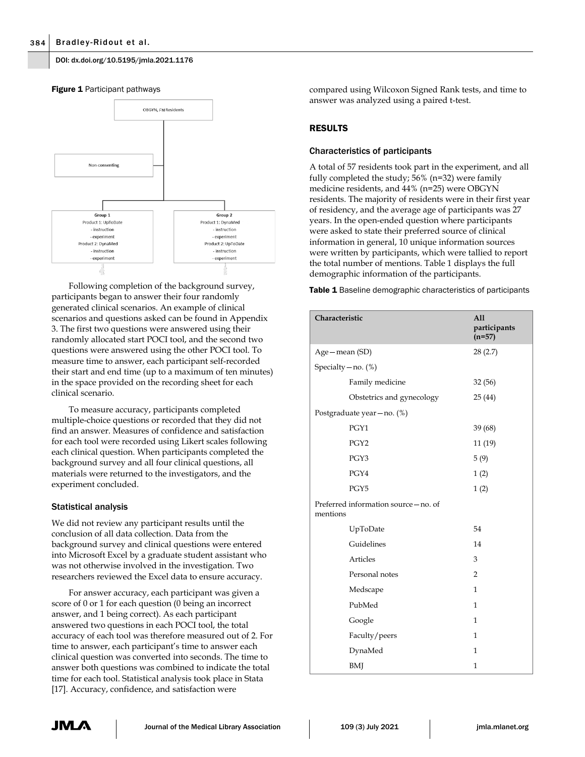#### DOI: dx.doi.org/10.5195/jmla.2021.1176



Following completion of the background survey, participants began to answer their four randomly generated clinical scenarios. An example of clinical scenarios and questions asked can be found in Appendix 3. The first two questions were answered using their randomly allocated start POCI tool, and the second two questions were answered using the other POCI tool. To measure time to answer, each participant self-recorded their start and end time (up to a maximum of ten minutes) in the space provided on the recording sheet for each clinical scenario.

To measure accuracy, participants completed multiple-choice questions or recorded that they did not find an answer. Measures of confidence and satisfaction for each tool were recorded using Likert scales following each clinical question. When participants completed the background survey and all four clinical questions, all materials were returned to the investigators, and the experiment concluded.

#### Statistical analysis

We did not review any participant results until the conclusion of all data collection. Data from the background survey and clinical questions were entered into Microsoft Excel by a graduate student assistant who was not otherwise involved in the investigation. Two researchers reviewed the Excel data to ensure accuracy.

For answer accuracy, each participant was given a score of 0 or 1 for each question (0 being an incorrect answer, and 1 being correct). As each participant answered two questions in each POCI tool, the total accuracy of each tool was therefore measured out of 2. For time to answer, each participant's time to answer each clinical question was converted into seconds. The time to answer both questions was combined to indicate the total time for each tool. Statistical analysis took place in Stata [17]. Accuracy, confidence, and satisfaction were

compared using Wilcoxon Signed Rank tests, and time to answer was analyzed using a paired t-test.

#### RESULTS

#### Characteristics of participants

A total of 57 residents took part in the experiment, and all fully completed the study; 56% (n=32) were family medicine residents, and 44% (n=25) were OBGYN residents. The majority of residents were in their first year of residency, and the average age of participants was 27 years. In the open-ended question where participants were asked to state their preferred source of clinical information in general, 10 unique information sources were written by participants, which were tallied to report the total number of mentions. Table 1 displays the full demographic information of the participants.

Table 1 Baseline demographic characteristics of participants

| Characteristic                                  | All<br>participants<br>$(n=57)$ |
|-------------------------------------------------|---------------------------------|
| Age - mean (SD)                                 | 28(2.7)                         |
| Specialty $-$ no. $(\%)$                        |                                 |
| Family medicine                                 | 32 (56)                         |
| Obstetrics and gynecology                       | 25(44)                          |
| Postgraduate year-no. (%)                       |                                 |
| PGY1                                            | 39 (68)                         |
| PGY <sub>2</sub>                                | 11 (19)                         |
| PGY3                                            | 5(9)                            |
| PGY4                                            | 1(2)                            |
| PGY5                                            | 1(2)                            |
| Preferred information source-no. of<br>mentions |                                 |
| UpToDate                                        | 54                              |
| Guidelines                                      | 14                              |
| Articles                                        | 3                               |
| Personal notes                                  | $\overline{2}$                  |
| Medscape                                        | $\mathbf{1}$                    |
| PubMed                                          | $\mathbf{1}$                    |
| Google                                          | $\mathbf{1}$                    |
| Faculty/peers                                   | 1                               |
| DynaMed                                         | $\mathbf{1}$                    |
| BMJ                                             | $\mathbf{1}$                    |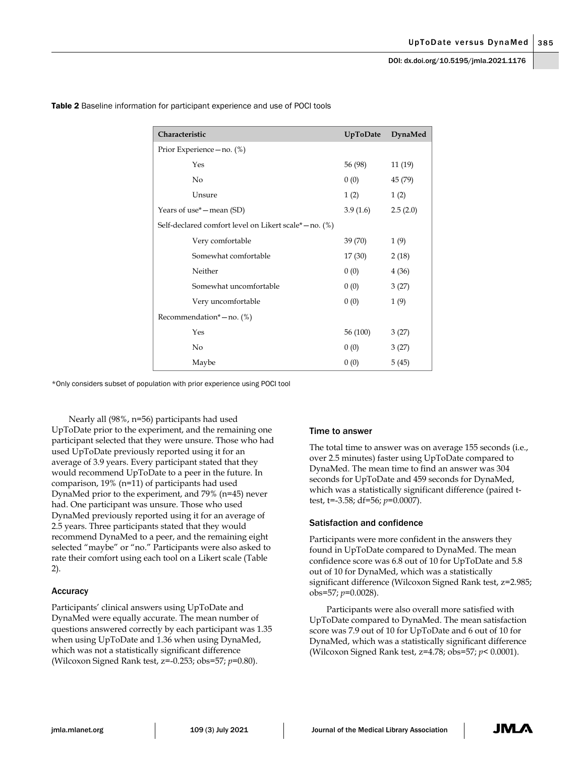| Characteristic                                         | UpToDate | DynaMed  |
|--------------------------------------------------------|----------|----------|
| Prior Experience - no. (%)                             |          |          |
| Yes                                                    | 56 (98)  | 11(19)   |
| No                                                     | 0(0)     | 45 (79)  |
| Unsure                                                 | 1(2)     | 1(2)     |
| Years of use* – mean (SD)                              | 3.9(1.6) | 2.5(2.0) |
| Self-declared comfort level on Likert scale* - no. (%) |          |          |
| Very comfortable                                       | 39 (70)  | 1(9)     |
| Somewhat comfortable                                   | 17(30)   | 2(18)    |
| Neither                                                | 0(0)     | 4(36)    |
| Somewhat uncomfortable                                 | 0(0)     | 3(27)    |
| Very uncomfortable                                     | 0(0)     | 1(9)     |
| Recommendation* $-$ no. (%)                            |          |          |
| Yes                                                    | 56 (100) | 3(27)    |
| No                                                     | 0(0)     | 3(27)    |
| Maybe                                                  | 0(0)     | 5(45)    |

Table 2 Baseline information for participant experience and use of POCI tools

\*Only considers subset of population with prior experience using POCI tool

Nearly all (98%, n=56) participants had used UpToDate prior to the experiment, and the remaining one participant selected that they were unsure. Those who had used UpToDate previously reported using it for an average of 3.9 years. Every participant stated that they would recommend UpToDate to a peer in the future. In comparison, 19% (n=11) of participants had used DynaMed prior to the experiment, and 79% (n=45) never had. One participant was unsure. Those who used DynaMed previously reported using it for an average of 2.5 years. Three participants stated that they would recommend DynaMed to a peer, and the remaining eight selected "maybe" or "no." Participants were also asked to rate their comfort using each tool on a Likert scale (Table 2).

#### Accuracy

Participants' clinical answers using UpToDate and DynaMed were equally accurate. The mean number of questions answered correctly by each participant was 1.35 when using UpToDate and 1.36 when using DynaMed, which was not a statistically significant difference (Wilcoxon Signed Rank test, z=-0.253; obs=57; *p*=0.80).

#### Time to answer

The total time to answer was on average 155 seconds (i.e., over 2.5 minutes) faster using UpToDate compared to DynaMed. The mean time to find an answer was 304 seconds for UpToDate and 459 seconds for DynaMed, which was a statistically significant difference (paired ttest, t=-3.58; df=56; *p*=0.0007).

#### Satisfaction and confidence

Participants were more confident in the answers they found in UpToDate compared to DynaMed. The mean confidence score was 6.8 out of 10 for UpToDate and 5.8 out of 10 for DynaMed, which was a statistically significant difference (Wilcoxon Signed Rank test, z=2.985; obs=57; *p*=0.0028).

Participants were also overall more satisfied with UpToDate compared to DynaMed. The mean satisfaction score was 7.9 out of 10 for UpToDate and 6 out of 10 for DynaMed, which was a statistically significant difference (Wilcoxon Signed Rank test, z=4.78; obs=57; *p*< 0.0001).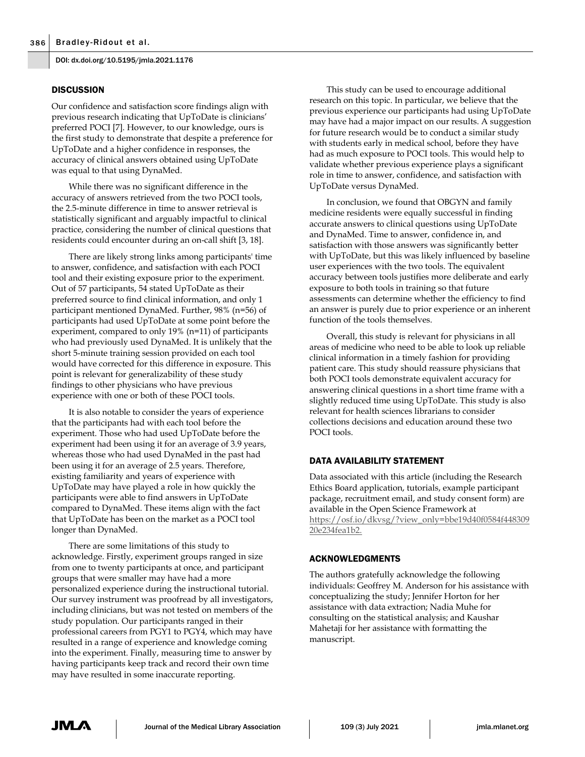DOI: dx.doi.org/10.5195/jmla.2021.1176

#### **DISCUSSION**

Our confidence and satisfaction score findings align with previous research indicating that UpToDate is clinicians' preferred POCI [7]. However, to our knowledge, ours is the first study to demonstrate that despite a preference for UpToDate and a higher confidence in responses, the accuracy of clinical answers obtained using UpToDate was equal to that using DynaMed.

While there was no significant difference in the accuracy of answers retrieved from the two POCI tools, the 2.5-minute difference in time to answer retrieval is statistically significant and arguably impactful to clinical practice, considering the number of clinical questions that residents could encounter during an on-call shift [3, 18].

There are likely strong links among participants' time to answer, confidence, and satisfaction with each POCI tool and their existing exposure prior to the experiment. Out of 57 participants, 54 stated UpToDate as their preferred source to find clinical information, and only 1 participant mentioned DynaMed. Further, 98% (n=56) of participants had used UpToDate at some point before the experiment, compared to only 19% (n=11) of participants who had previously used DynaMed. It is unlikely that the short 5-minute training session provided on each tool would have corrected for this difference in exposure. This point is relevant for generalizability of these study findings to other physicians who have previous experience with one or both of these POCI tools.

It is also notable to consider the years of experience that the participants had with each tool before the experiment. Those who had used UpToDate before the experiment had been using it for an average of 3.9 years, whereas those who had used DynaMed in the past had been using it for an average of 2.5 years. Therefore, existing familiarity and years of experience with UpToDate may have played a role in how quickly the participants were able to find answers in UpToDate compared to DynaMed. These items align with the fact that UpToDate has been on the market as a POCI tool longer than DynaMed.

There are some limitations of this study to acknowledge. Firstly, experiment groups ranged in size from one to twenty participants at once, and participant groups that were smaller may have had a more personalized experience during the instructional tutorial. Our survey instrument was proofread by all investigators, including clinicians, but was not tested on members of the study population. Our participants ranged in their professional careers from PGY1 to PGY4, which may have resulted in a range of experience and knowledge coming into the experiment. Finally, measuring time to answer by having participants keep track and record their own time may have resulted in some inaccurate reporting.

This study can be used to encourage additional research on this topic. In particular, we believe that the previous experience our participants had using UpToDate may have had a major impact on our results. A suggestion for future research would be to conduct a similar study with students early in medical school, before they have had as much exposure to POCI tools. This would help to validate whether previous experience plays a significant role in time to answer, confidence, and satisfaction with UpToDate versus DynaMed.

In conclusion, we found that OBGYN and family medicine residents were equally successful in finding accurate answers to clinical questions using UpToDate and DynaMed. Time to answer, confidence in, and satisfaction with those answers was significantly better with UpToDate, but this was likely influenced by baseline user experiences with the two tools. The equivalent accuracy between tools justifies more deliberate and early exposure to both tools in training so that future assessments can determine whether the efficiency to find an answer is purely due to prior experience or an inherent function of the tools themselves.

Overall, this study is relevant for physicians in all areas of medicine who need to be able to look up reliable clinical information in a timely fashion for providing patient care. This study should reassure physicians that both POCI tools demonstrate equivalent accuracy for answering clinical questions in a short time frame with a slightly reduced time using UpToDate. This study is also relevant for health sciences librarians to consider collections decisions and education around these two POCI tools.

#### DATA AVAILABILITY STATEMENT

Data associated with this article (including the Research Ethics Board application, tutorials, example participant package, recruitment email, and study consent form) are available in the Open Science Framework at [https://osf.io/dkvsg/?view\\_only=bbe19d40f0584f448309](https://osf.io/dkvsg/?view_only=bbe19d40f0584f44830920e234fea1b2) [20e234fea1b2.](https://osf.io/dkvsg/?view_only=bbe19d40f0584f44830920e234fea1b2)

#### ACKNOWLEDGMENTS

The authors gratefully acknowledge the following individuals: Geoffrey M. Anderson for his assistance with conceptualizing the study; Jennifer Horton for her assistance with data extraction; Nadia Muhe for consulting on the statistical analysis; and Kaushar Mahetaji for her assistance with formatting the manuscript.